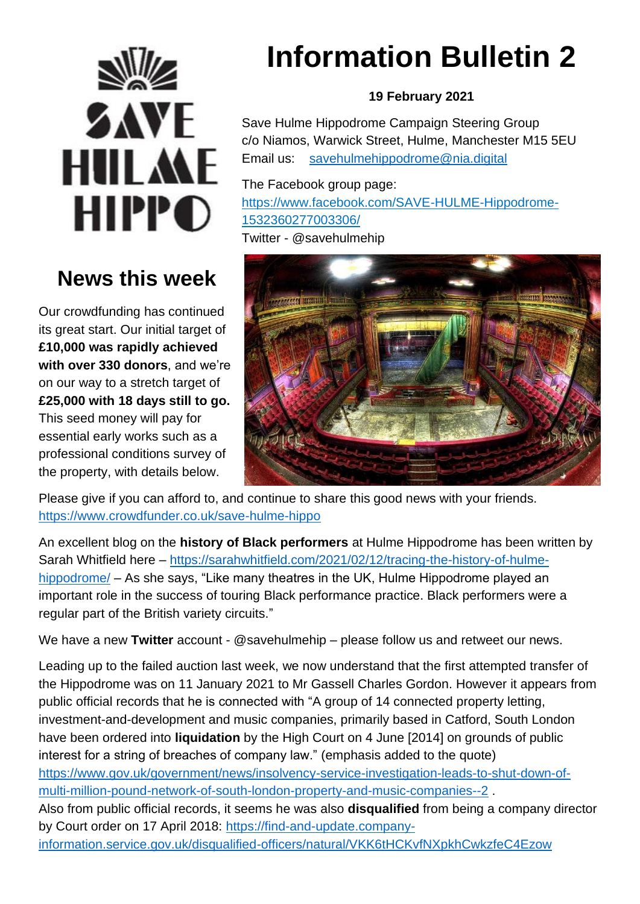

## **News this week**

Our crowdfunding has continued its great start. Our initial target of **£10,000 was rapidly achieved with over 330 donors**, and we're on our way to a stretch target of **£25,000 with 18 days still to go.**  This seed money will pay for essential early works such as a professional conditions survey of the property, with details below.

# **Information Bulletin 2**

#### **19 February 2021**

Save Hulme Hippodrome Campaign Steering Group c/o Niamos, Warwick Street, Hulme, Manchester M15 5EU Email us: [savehulmehippodrome@nia.digital](mailto:savehulmehippodrome@nia.digital)

The Facebook group page: [https://www.facebook.com/SAVE-HULME-Hippodrome-](https://www.facebook.com/SAVE-HULME-Hippodrome-1532360277003306/)[1532360277003306/](https://www.facebook.com/SAVE-HULME-Hippodrome-1532360277003306/) 

Twitter - @savehulmehip



Please give if you can afford to, and continue to share this good news with your friends. <https://www.crowdfunder.co.uk/save-hulme-hippo>

An excellent blog on the **history of Black performers** at Hulme Hippodrome has been written by Sarah Whitfield here – [https://sarahwhitfield.com/2021/02/12/tracing-the-history-of-hulme](https://sarahwhitfield.com/2021/02/12/tracing-the-history-of-hulme-hippodrome/)[hippodrome/](https://sarahwhitfield.com/2021/02/12/tracing-the-history-of-hulme-hippodrome/) – As she says, "Like many theatres in the UK, Hulme Hippodrome played an important role in the success of touring Black performance practice. Black performers were a regular part of the British variety circuits."

We have a new **Twitter** account - @savehulmehip – please follow us and retweet our news.

Leading up to the failed auction last week, we now understand that the first attempted transfer of the Hippodrome was on 11 January 2021 to Mr Gassell Charles Gordon. However it appears from public official records that he is connected with "A group of 14 connected property letting, investment-and-development and music companies, primarily based in Catford, South London have been ordered into **liquidation** by the High Court on 4 June [2014] on grounds of public interest for a string of breaches of company law." (emphasis added to the quote) [https://www.gov.uk/government/news/insolvency-service-investigation-leads-to-shut-down-of](https://www.gov.uk/government/news/insolvency-service-investigation-leads-to-shut-down-of-multi-million-pound-network-of-south-london-property-and-music-companies--2)[multi-million-pound-network-of-south-london-property-and-music-companies--2](https://www.gov.uk/government/news/insolvency-service-investigation-leads-to-shut-down-of-multi-million-pound-network-of-south-london-property-and-music-companies--2) . Also from public official records, it seems he was also **disqualified** from being a company director by Court order on 17 April 2018: [https://find-and-update.company](https://find-and-update.company-information.service.gov.uk/disqualified-officers/natural/VKK6tHCKvfNXpkhCwkzfeC4Ezow)[information.service.gov.uk/disqualified-officers/natural/VKK6tHCKvfNXpkhCwkzfeC4Ezow](https://find-and-update.company-information.service.gov.uk/disqualified-officers/natural/VKK6tHCKvfNXpkhCwkzfeC4Ezow)